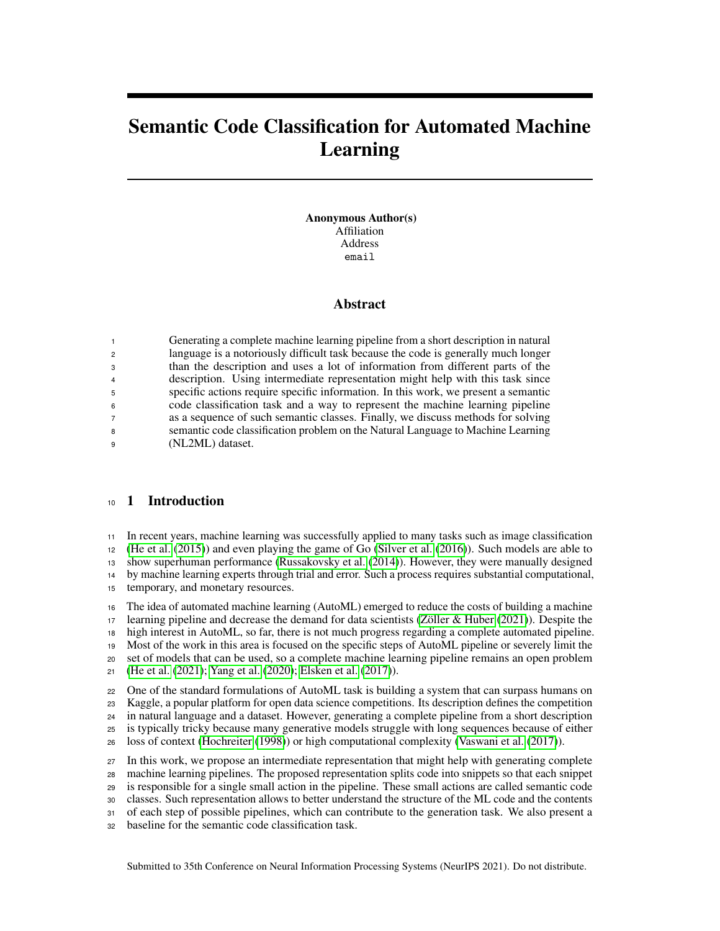# Semantic Code Classification for Automated Machine Learning

Anonymous Author(s) Affiliation Address email

## Abstract

|                | Generating a complete machine learning pipeline from a short description in natural |
|----------------|-------------------------------------------------------------------------------------|
| $\overline{2}$ | language is a notoriously difficult task because the code is generally much longer  |
| 3              | than the description and uses a lot of information from different parts of the      |
| $\overline{4}$ | description. Using intermediate representation might help with this task since      |
| 5              | specific actions require specific information. In this work, we present a semantic  |
| 6              | code classification task and a way to represent the machine learning pipeline       |
|                | as a sequence of such semantic classes. Finally, we discuss methods for solving     |
| 8              | semantic code classification problem on the Natural Language to Machine Learning    |
| 9              | (NL2ML) dataset.                                                                    |

## 1 Introduction

In recent years, machine learning was successfully applied to many tasks such as image classification

[\(He et al.](#page-5-0) [\(2015\)](#page-5-0)) and even playing the game of Go [\(Silver et al.](#page-6-0) [\(2016\)](#page-6-0)). Such models are able to

show superhuman performance [\(Russakovsky et al.](#page-5-1) [\(2014\)](#page-5-1)). However, they were manually designed

by machine learning experts through trial and error. Such a process requires substantial computational,

temporary, and monetary resources.

 The idea of automated machine learning (AutoML) emerged to reduce the costs of building a machine learning pipeline and decrease the demand for data scientists [\(Zöller & Huber](#page-6-1) [\(2021\)](#page-6-1)). Despite the high interest in AutoML, so far, there is not much progress regarding a complete automated pipeline. Most of the work in this area is focused on the specific steps of AutoML pipeline or severely limit the set of models that can be used, so a complete machine learning pipeline remains an open problem [\(He et al.](#page-5-2) [\(2021\)](#page-5-2); [Yang et al.](#page-6-2) [\(2020\)](#page-6-2); [Elsken et al.](#page-5-3) [\(2017\)](#page-5-3)).

One of the standard formulations of AutoML task is building a system that can surpass humans on

Kaggle, a popular platform for open data science competitions. Its description defines the competition

in natural language and a dataset. However, generating a complete pipeline from a short description

is typically tricky because many generative models struggle with long sequences because of either

loss of context [\(Hochreiter](#page-5-4) [\(1998\)](#page-5-4)) or high computational complexity [\(Vaswani et al.](#page-6-3) [\(2017\)](#page-6-3)).

 In this work, we propose an intermediate representation that might help with generating complete machine learning pipelines. The proposed representation splits code into snippets so that each snippet

is responsible for a single small action in the pipeline. These small actions are called semantic code

classes. Such representation allows to better understand the structure of the ML code and the contents

of each step of possible pipelines, which can contribute to the generation task. We also present a

baseline for the semantic code classification task.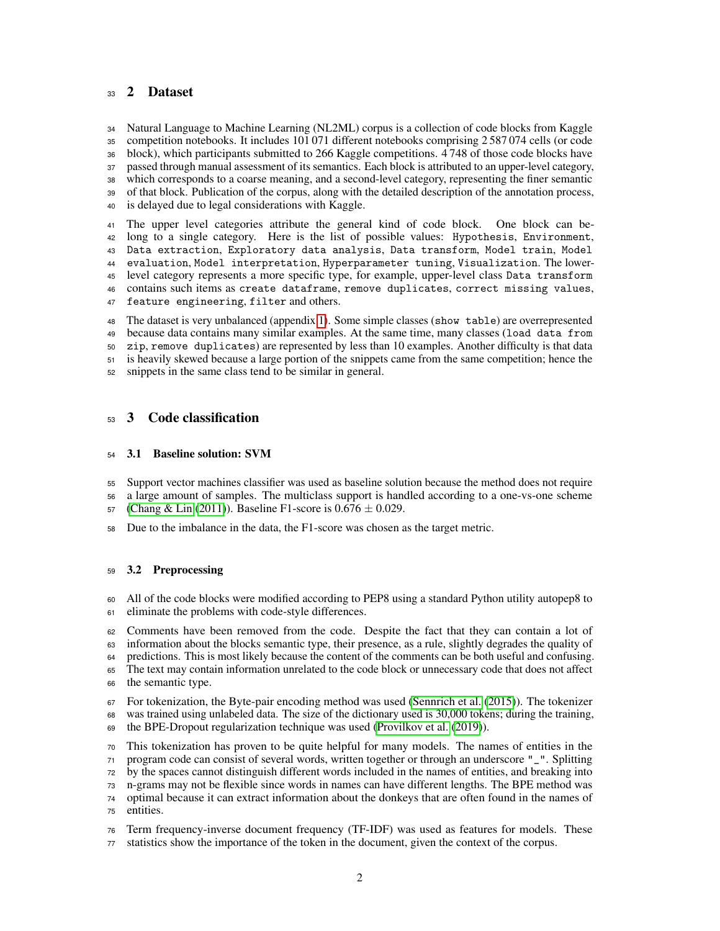## 33 2 Dataset

 Natural Language to Machine Learning (NL2ML) corpus is a collection of code blocks from Kaggle competition notebooks. It includes 101 071 different notebooks comprising 2 587 074 cells (or code block), which participants submitted to 266 Kaggle competitions. 4 748 of those code blocks have passed through manual assessment of its semantics. Each block is attributed to an upper-level category, which corresponds to a coarse meaning, and a second-level category, representing the finer semantic of that block. Publication of the corpus, along with the detailed description of the annotation process, is delayed due to legal considerations with Kaggle.

 The upper level categories attribute the general kind of code block. One block can be- long to a single category. Here is the list of possible values: Hypothesis, Environment, Data extraction, Exploratory data analysis, Data transform, Model train, Model evaluation, Model interpretation, Hyperparameter tuning, Visualization. The lower- level category represents a more specific type, for example, upper-level class Data transform contains such items as create dataframe, remove duplicates, correct missing values, feature engineering, filter and others.

 The dataset is very unbalanced (appendix [1\)](#page-7-0). Some simple classes (show table) are overrepresented because data contains many similar examples. At the same time, many classes (load data from zip, remove duplicates) are represented by less than 10 examples. Another difficulty is that data is heavily skewed because a large portion of the snippets came from the same competition; hence the snippets in the same class tend to be similar in general.

## 53 3 Code classification

#### 3.1 Baseline solution: SVM

- Support vector machines classifier was used as baseline solution because the method does not require
- a large amount of samples. The multiclass support is handled according to a one-vs-one scheme
- 57 [\(Chang & Lin](#page-5-5) [\(2011\)](#page-5-5)). Baseline F1-score is  $0.676 \pm 0.029$ .
- Due to the imbalance in the data, the F1-score was chosen as the target metric.

#### 3.2 Preprocessing

- All of the code blocks were modified according to PEP8 using a standard Python utility autopep8 to eliminate the problems with code-style differences.
- Comments have been removed from the code. Despite the fact that they can contain a lot of information about the blocks semantic type, their presence, as a rule, slightly degrades the quality of predictions. This is most likely because the content of the comments can be both useful and confusing. The text may contain information unrelated to the code block or unnecessary code that does not affect
- the semantic type.
- For tokenization, the Byte-pair encoding method was used [\(Sennrich et al.](#page-5-6) [\(2015\)](#page-5-6)). The tokenizer was trained using unlabeled data. The size of the dictionary used is 30,000 tokens; during the training,
- the BPE-Dropout regularization technique was used [\(Provilkov et al.](#page-5-7) [\(2019\)](#page-5-7)).
- This tokenization has proven to be quite helpful for many models. The names of entities in the
- program code can consist of several words, written together or through an underscore "\_". Splitting
- by the spaces cannot distinguish different words included in the names of entities, and breaking into
- n-grams may not be flexible since words in names can have different lengths. The BPE method was optimal because it can extract information about the donkeys that are often found in the names of
- entities.
- Term frequency-inverse document frequency (TF-IDF) was used as features for models. These
- statistics show the importance of the token in the document, given the context of the corpus.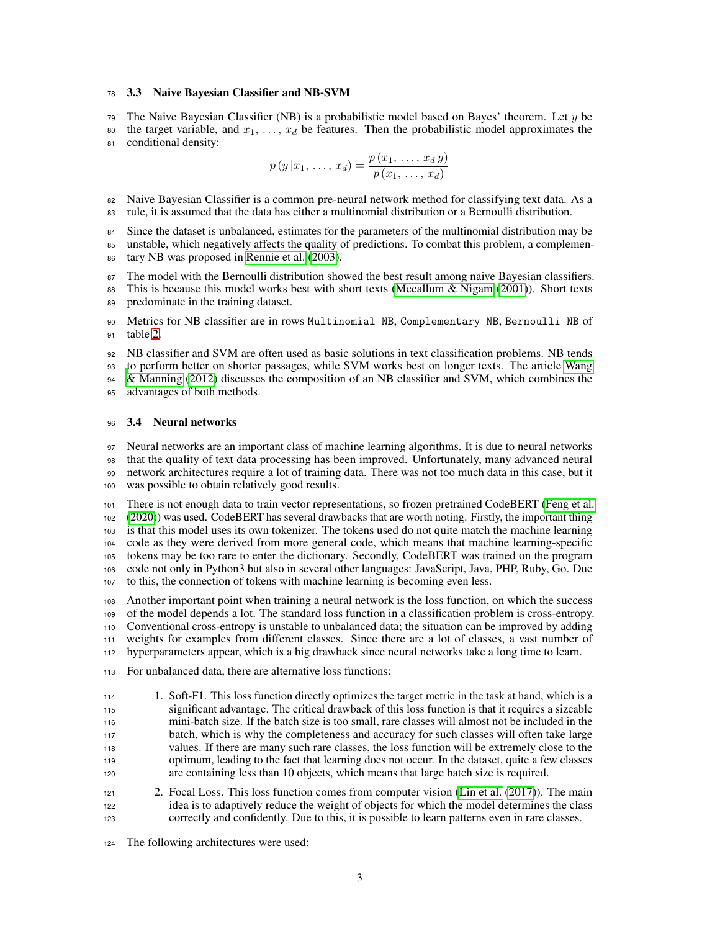#### 3.3 Naive Bayesian Classifier and NB-SVM

79 The Naive Bayesian Classifier (NB) is a probabilistic model based on Bayes' theorem. Let  $y$  be

80 the target variable, and  $x_1, \ldots, x_d$  be features. Then the probabilistic model approximates the conditional density:

$$
p(y|x_1, ..., x_d) = \frac{p(x_1, ..., x_d y)}{p(x_1, ..., x_d)}
$$

 Naive Bayesian Classifier is a common pre-neural network method for classifying text data. As a rule, it is assumed that the data has either a multinomial distribution or a Bernoulli distribution.

Since the dataset is unbalanced, estimates for the parameters of the multinomial distribution may be

 unstable, which negatively affects the quality of predictions. To combat this problem, a complemen-tary NB was proposed in [Rennie et al.](#page-5-8) [\(2003\)](#page-5-8).

The model with the Bernoulli distribution showed the best result among naive Bayesian classifiers.

88 This is because this model works best with short texts [\(Mccallum & Nigam](#page-5-9) [\(2001\)](#page-5-9)). Short texts predominate in the training dataset.

 Metrics for NB classifier are in rows Multinomial NB, Complementary NB, Bernoulli NB of table [2.](#page-4-0)

 NB classifier and SVM are often used as basic solutions in text classification problems. NB tends [t](#page-6-4)o perform better on shorter passages, while SVM works best on longer texts. The article [Wang](#page-6-4)

 [& Manning](#page-6-4) [\(2012\)](#page-6-4) discusses the composition of an NB classifier and SVM, which combines the advantages of both methods.

#### 3.4 Neural networks

 Neural networks are an important class of machine learning algorithms. It is due to neural networks that the quality of text data processing has been improved. Unfortunately, many advanced neural network architectures require a lot of training data. There was not too much data in this case, but it was possible to obtain relatively good results.

 There is not enough data to train vector representations, so frozen pretrained CodeBERT [\(Feng et al.](#page-5-10) [\(2020\)](#page-5-10)) was used. CodeBERT has several drawbacks that are worth noting. Firstly, the important thing is that this model uses its own tokenizer. The tokens used do not quite match the machine learning code as they were derived from more general code, which means that machine learning-specific tokens may be too rare to enter the dictionary. Secondly, CodeBERT was trained on the program code not only in Python3 but also in several other languages: JavaScript, Java, PHP, Ruby, Go. Due to this, the connection of tokens with machine learning is becoming even less.

 Another important point when training a neural network is the loss function, on which the success of the model depends a lot. The standard loss function in a classification problem is cross-entropy. Conventional cross-entropy is unstable to unbalanced data; the situation can be improved by adding weights for examples from different classes. Since there are a lot of classes, a vast number of hyperparameters appear, which is a big drawback since neural networks take a long time to learn.

For unbalanced data, there are alternative loss functions:

 1. Soft-F1. This loss function directly optimizes the target metric in the task at hand, which is a significant advantage. The critical drawback of this loss function is that it requires a sizeable mini-batch size. If the batch size is too small, rare classes will almost not be included in the batch, which is why the completeness and accuracy for such classes will often take large values. If there are many such rare classes, the loss function will be extremely close to the optimum, leading to the fact that learning does not occur. In the dataset, quite a few classes are containing less than 10 objects, which means that large batch size is required.

 2. Focal Loss. This loss function comes from computer vision [\(Lin et al.](#page-5-11) [\(2017\)](#page-5-11)). The main idea is to adaptively reduce the weight of objects for which the model determines the class correctly and confidently. Due to this, it is possible to learn patterns even in rare classes.

The following architectures were used: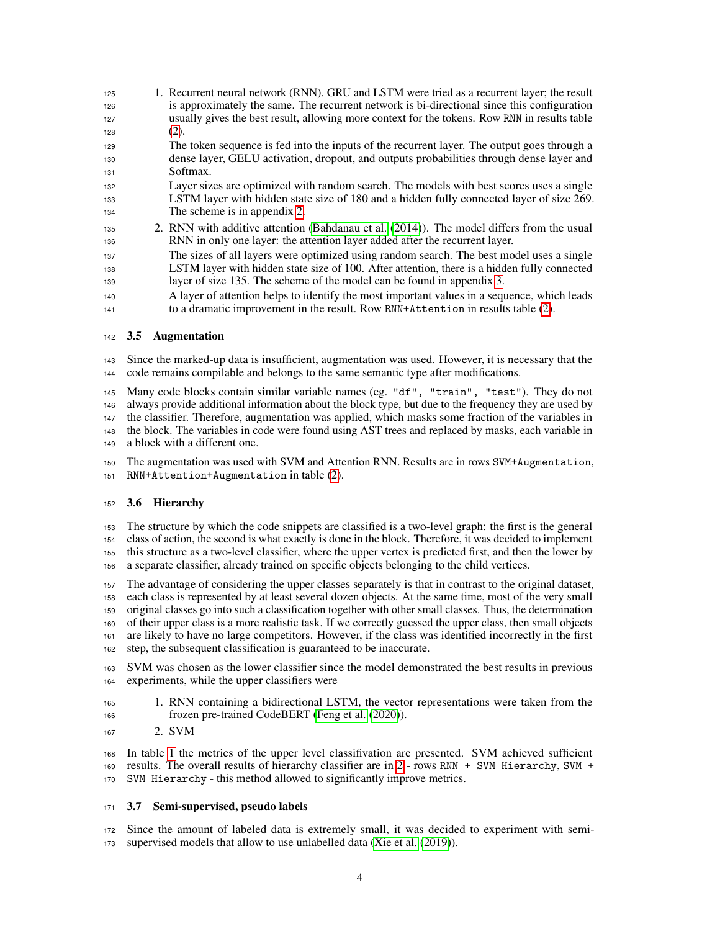| 125                     | 1. Recurrent neural network (RNN). GRU and LSTM were tried as a recurrent layer; the result   |
|-------------------------|-----------------------------------------------------------------------------------------------|
| 126                     | is approximately the same. The recurrent network is bi-directional since this configuration   |
| 127                     | usually gives the best result, allowing more context for the tokens. Row RNN in results table |
| 128                     | (2).                                                                                          |
| 129                     | The token sequence is fed into the inputs of the recurrent layer. The output goes through a   |
| 130                     | dense layer, GELU activation, dropout, and outputs probabilities through dense layer and      |
| 131                     | Softmax.                                                                                      |
| 132                     | Layer sizes are optimized with random search. The models with best scores uses a single       |
| 133                     | LSTM layer with hidden state size of 180 and a hidden fully connected layer of size 269.      |
| 134                     | The scheme is in appendix 2.                                                                  |
| 135                     | 2. RNN with additive attention (Bahdanau et al. (2014)). The model differs from the usual     |
| 136                     | RNN in only one layer: the attention layer added after the recurrent layer.                   |
| 137                     | The sizes of all layers were optimized using random search. The best model uses a single      |
| 138                     | LSTM layer with hidden state size of 100. After attention, there is a hidden fully connected  |
| 139                     | layer of size 135. The scheme of the model can be found in appendix 3.                        |
| $\cdot$ $\cdot$ $\cdot$ | A large of attention holes to identify the most important velves in a sequence which loods    |

 A layer of attention helps to identify the most important values in a sequence, which leads to a dramatic improvement in the result. Row RNN+Attention in results table [\(2\)](#page-4-0).

#### 3.5 Augmentation

 Since the marked-up data is insufficient, augmentation was used. However, it is necessary that the code remains compilable and belongs to the same semantic type after modifications.

 Many code blocks contain similar variable names (eg. "df", "train", "test"). They do not always provide additional information about the block type, but due to the frequency they are used by the classifier. Therefore, augmentation was applied, which masks some fraction of the variables in the block. The variables in code were found using AST trees and replaced by masks, each variable in a block with a different one.

 The augmentation was used with SVM and Attention RNN. Results are in rows SVM+Augmentation, RNN+Attention+Augmentation in table [\(2\)](#page-4-0).

#### 3.6 Hierarchy

 The structure by which the code snippets are classified is a two-level graph: the first is the general class of action, the second is what exactly is done in the block. Therefore, it was decided to implement this structure as a two-level classifier, where the upper vertex is predicted first, and then the lower by a separate classifier, already trained on specific objects belonging to the child vertices.

 The advantage of considering the upper classes separately is that in contrast to the original dataset, each class is represented by at least several dozen objects. At the same time, most of the very small original classes go into such a classification together with other small classes. Thus, the determination of their upper class is a more realistic task. If we correctly guessed the upper class, then small objects are likely to have no large competitors. However, if the class was identified incorrectly in the first step, the subsequent classification is guaranteed to be inaccurate.

 SVM was chosen as the lower classifier since the model demonstrated the best results in previous experiments, while the upper classifiers were

- 1. RNN containing a bidirectional LSTM, the vector representations were taken from the frozen pre-trained CodeBERT [\(Feng et al.](#page-5-10) [\(2020\)](#page-5-10)).
- 2. SVM

 In table [1](#page-4-1) the metrics of the upper level classifivation are presented. SVM achieved sufficient results. The overall results of hierarchy classifier are in [2](#page-4-0) - rows RNN + SVM Hierarchy, SVM + SVM Hierarchy - this method allowed to significantly improve metrics.

#### 3.7 Semi-supervised, pseudo labels

 Since the amount of labeled data is extremely small, it was decided to experiment with semi-supervised models that allow to use unlabelled data [\(Xie et al.](#page-6-5) [\(2019\)](#page-6-5)).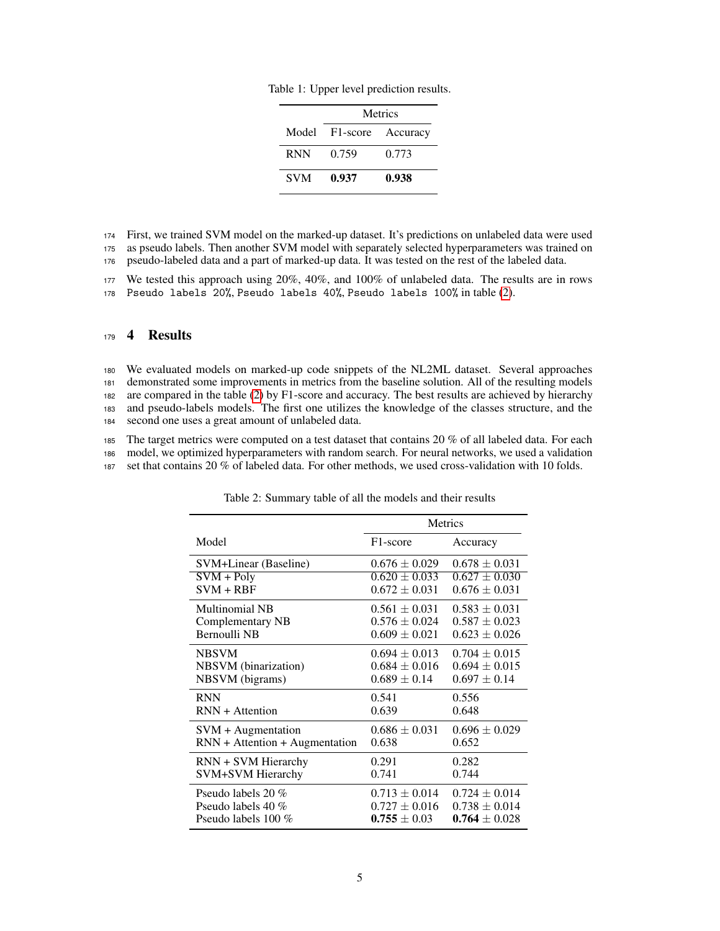<span id="page-4-1"></span>

|            | Metrics                 |       |  |
|------------|-------------------------|-------|--|
|            | Model F1-score Accuracy |       |  |
| <b>RNN</b> | 0.759                   | 0.773 |  |
| <b>SVM</b> | 0.937                   | 0.938 |  |

<sup>174</sup> First, we trained SVM model on the marked-up dataset. It's predictions on unlabeled data were used <sup>175</sup> as pseudo labels. Then another SVM model with separately selected hyperparameters was trained on

<sup>176</sup> pseudo-labeled data and a part of marked-up data. It was tested on the rest of the labeled data.

<sup>177</sup> We tested this approach using 20%, 40%, and 100% of unlabeled data. The results are in rows

<sup>178</sup> Pseudo labels 20%, Pseudo labels 40%, Pseudo labels 100% in table [\(2\)](#page-4-0).

## <sup>179</sup> 4 Results

 We evaluated models on marked-up code snippets of the NL2ML dataset. Several approaches demonstrated some improvements in metrics from the baseline solution. All of the resulting models are compared in the table [\(2\)](#page-4-0) by F1-score and accuracy. The best results are achieved by hierarchy and pseudo-labels models. The first one utilizes the knowledge of the classes structure, and the second one uses a great amount of unlabeled data.

<sup>185</sup> The target metrics were computed on a test dataset that contains 20 % of all labeled data. For each <sup>186</sup> model, we optimized hyperparameters with random search. For neural networks, we used a validation

<sup>187</sup> set that contains 20 % of labeled data. For other methods, we used cross-validation with 10 folds.

|                                  | <b>Metrics</b>    |                   |  |
|----------------------------------|-------------------|-------------------|--|
| Model                            | F1-score          | Accuracy          |  |
| SVM+Linear (Baseline)            | $0.676 \pm 0.029$ | $0.678 \pm 0.031$ |  |
| $SVM + Poly$                     | $0.620 \pm 0.033$ | $0.627 \pm 0.030$ |  |
| $SVM + RBF$                      | $0.672 \pm 0.031$ | $0.676 \pm 0.031$ |  |
| Multinomial NB                   | $0.561 \pm 0.031$ | $0.583 \pm 0.031$ |  |
| Complementary NB                 | $0.576 \pm 0.024$ | $0.587 \pm 0.023$ |  |
| <b>Bernoulli NB</b>              | $0.609 \pm 0.021$ | $0.623 \pm 0.026$ |  |
| <b>NBSVM</b>                     | $0.694 \pm 0.013$ | $0.704 \pm 0.015$ |  |
| NBSVM (binarization)             | $0.684 \pm 0.016$ | $0.694 \pm 0.015$ |  |
| NBSVM (bigrams)                  | $0.689 \pm 0.14$  | $0.697 \pm 0.14$  |  |
| <b>RNN</b>                       | 0.541             | 0.556             |  |
| $RNN + Attention$                | 0.639             | 0.648             |  |
| $SVM + Augmentation$             | $0.686 \pm 0.031$ | $0.696 \pm 0.029$ |  |
| $RNN +$ Attention + Augmentation | 0.638             | 0.652             |  |
| RNN + SVM Hierarchy              | 0.291             | 0.282             |  |
| SVM+SVM Hierarchy                | 0.741             | 0.744             |  |
| Pseudo labels 20 $\%$            | $0.713 \pm 0.014$ | $0.724 \pm 0.014$ |  |
| Pseudo labels 40 $\%$            | $0.727 \pm 0.016$ | $0.738 \pm 0.014$ |  |
| Pseudo labels $100\%$            | $0.755 \pm 0.03$  | $0.764 \pm 0.028$ |  |

<span id="page-4-0"></span>Table 2: Summary table of all the models and their results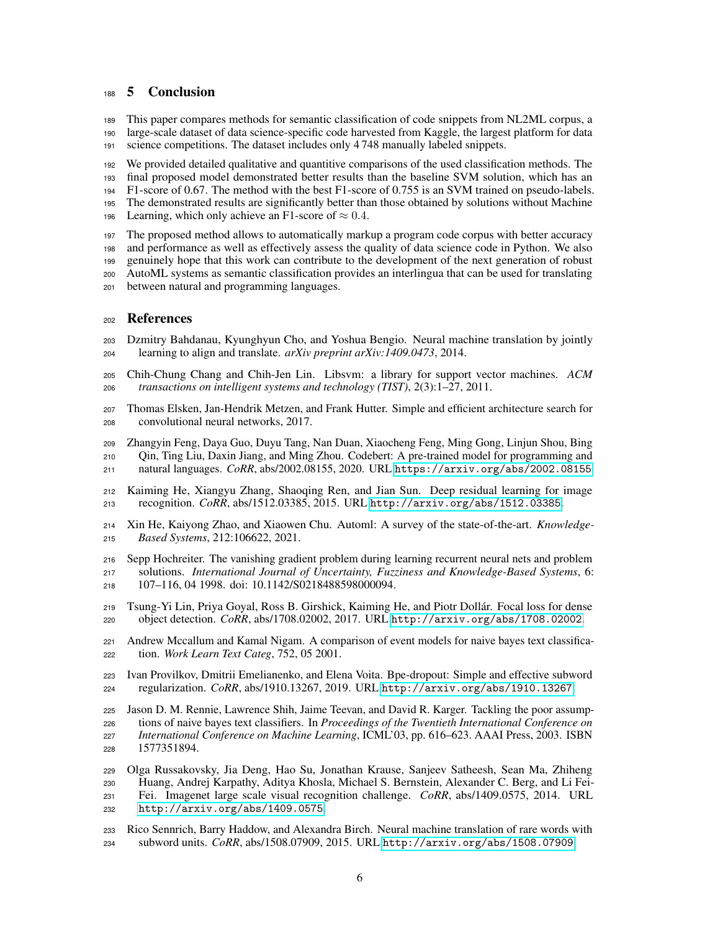## 5 Conclusion

 This paper compares methods for semantic classification of code snippets from NL2ML corpus, a large-scale dataset of data science-specific code harvested from Kaggle, the largest platform for data science competitions. The dataset includes only 4 748 manually labeled snippets.

 We provided detailed qualitative and quantitive comparisons of the used classification methods. The final proposed model demonstrated better results than the baseline SVM solution, which has an F1-score of 0.67. The method with the best F1-score of 0.755 is an SVM trained on pseudo-labels. The demonstrated results are significantly better than those obtained by solutions without Machine

196 Learning, which only achieve an F1-score of  $\approx 0.4$ .

 The proposed method allows to automatically markup a program code corpus with better accuracy and performance as well as effectively assess the quality of data science code in Python. We also

genuinely hope that this work can contribute to the development of the next generation of robust

AutoML systems as semantic classification provides an interlingua that can be used for translating

between natural and programming languages.

#### References

- <span id="page-5-12"></span> Dzmitry Bahdanau, Kyunghyun Cho, and Yoshua Bengio. Neural machine translation by jointly learning to align and translate. *arXiv preprint arXiv:1409.0473*, 2014.
- <span id="page-5-5"></span> Chih-Chung Chang and Chih-Jen Lin. Libsvm: a library for support vector machines. *ACM transactions on intelligent systems and technology (TIST)*, 2(3):1–27, 2011.
- <span id="page-5-3"></span> Thomas Elsken, Jan-Hendrik Metzen, and Frank Hutter. Simple and efficient architecture search for convolutional neural networks, 2017.
- <span id="page-5-10"></span> Zhangyin Feng, Daya Guo, Duyu Tang, Nan Duan, Xiaocheng Feng, Ming Gong, Linjun Shou, Bing Qin, Ting Liu, Daxin Jiang, and Ming Zhou. Codebert: A pre-trained model for programming and
- natural languages. *CoRR*, abs/2002.08155, 2020. URL <https://arxiv.org/abs/2002.08155>.
- <span id="page-5-0"></span> Kaiming He, Xiangyu Zhang, Shaoqing Ren, and Jian Sun. Deep residual learning for image recognition. *CoRR*, abs/1512.03385, 2015. URL <http://arxiv.org/abs/1512.03385>.
- <span id="page-5-2"></span> Xin He, Kaiyong Zhao, and Xiaowen Chu. Automl: A survey of the state-of-the-art. *Knowledge-Based Systems*, 212:106622, 2021.
- <span id="page-5-4"></span> Sepp Hochreiter. The vanishing gradient problem during learning recurrent neural nets and problem solutions. *International Journal of Uncertainty, Fuzziness and Knowledge-Based Systems*, 6: 107–116, 04 1998. doi: 10.1142/S0218488598000094.
- <span id="page-5-11"></span> Tsung-Yi Lin, Priya Goyal, Ross B. Girshick, Kaiming He, and Piotr Dollár. Focal loss for dense object detection. *CoRR*, abs/1708.02002, 2017. URL <http://arxiv.org/abs/1708.02002>.
- <span id="page-5-9"></span> Andrew Mccallum and Kamal Nigam. A comparison of event models for naive bayes text classifica-tion. *Work Learn Text Categ*, 752, 05 2001.
- <span id="page-5-7"></span> Ivan Provilkov, Dmitrii Emelianenko, and Elena Voita. Bpe-dropout: Simple and effective subword regularization. *CoRR*, abs/1910.13267, 2019. URL <http://arxiv.org/abs/1910.13267>.

<span id="page-5-8"></span> Jason D. M. Rennie, Lawrence Shih, Jaime Teevan, and David R. Karger. Tackling the poor assump- tions of naive bayes text classifiers. In *Proceedings of the Twentieth International Conference on International Conference on Machine Learning*, ICML'03, pp. 616–623. AAAI Press, 2003. ISBN 1577351894.

- <span id="page-5-1"></span> Olga Russakovsky, Jia Deng, Hao Su, Jonathan Krause, Sanjeev Satheesh, Sean Ma, Zhiheng Huang, Andrej Karpathy, Aditya Khosla, Michael S. Bernstein, Alexander C. Berg, and Li Fei- Fei. Imagenet large scale visual recognition challenge. *CoRR*, abs/1409.0575, 2014. URL <http://arxiv.org/abs/1409.0575>.
- <span id="page-5-6"></span> Rico Sennrich, Barry Haddow, and Alexandra Birch. Neural machine translation of rare words with subword units. *CoRR*, abs/1508.07909, 2015. URL <http://arxiv.org/abs/1508.07909>.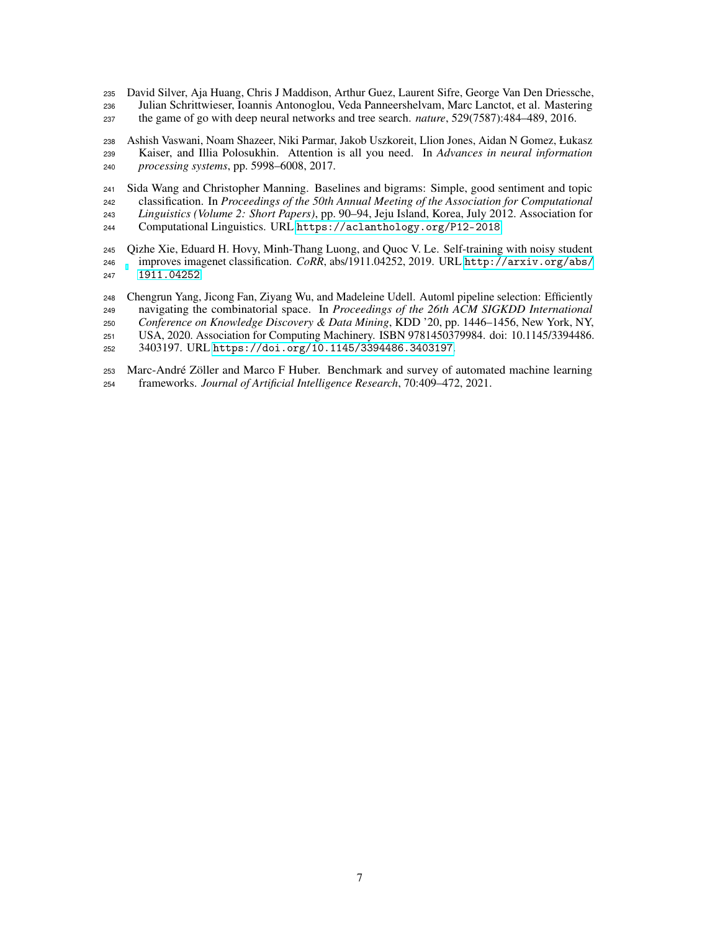<span id="page-6-0"></span> David Silver, Aja Huang, Chris J Maddison, Arthur Guez, Laurent Sifre, George Van Den Driessche, Julian Schrittwieser, Ioannis Antonoglou, Veda Panneershelvam, Marc Lanctot, et al. Mastering the game of go with deep neural networks and tree search. *nature*, 529(7587):484–489, 2016.

<span id="page-6-3"></span> Ashish Vaswani, Noam Shazeer, Niki Parmar, Jakob Uszkoreit, Llion Jones, Aidan N Gomez, Łukasz Kaiser, and Illia Polosukhin. Attention is all you need. In *Advances in neural information processing systems*, pp. 5998–6008, 2017.

<span id="page-6-4"></span> Sida Wang and Christopher Manning. Baselines and bigrams: Simple, good sentiment and topic classification. In *Proceedings of the 50th Annual Meeting of the Association for Computational Linguistics (Volume 2: Short Papers)*, pp. 90–94, Jeju Island, Korea, July 2012. Association for Computational Linguistics. URL <https://aclanthology.org/P12-2018>.

<span id="page-6-5"></span> Qizhe Xie, Eduard H. Hovy, Minh-Thang Luong, and Quoc V. Le. Self-training with noisy student improves imagenet classification. *CoRR*, abs/1911.04252, 2019. URL [http://arxiv.org/abs/](http://arxiv.org/abs/1911.04252) [1911.04252](http://arxiv.org/abs/1911.04252).

<span id="page-6-2"></span> Chengrun Yang, Jicong Fan, Ziyang Wu, and Madeleine Udell. Automl pipeline selection: Efficiently navigating the combinatorial space. In *Proceedings of the 26th ACM SIGKDD International Conference on Knowledge Discovery & Data Mining*, KDD '20, pp. 1446–1456, New York, NY, USA, 2020. Association for Computing Machinery. ISBN 9781450379984. doi: 10.1145/3394486.

3403197. URL <https://doi.org/10.1145/3394486.3403197>.

<span id="page-6-1"></span> Marc-André Zöller and Marco F Huber. Benchmark and survey of automated machine learning frameworks. *Journal of Artificial Intelligence Research*, 70:409–472, 2021.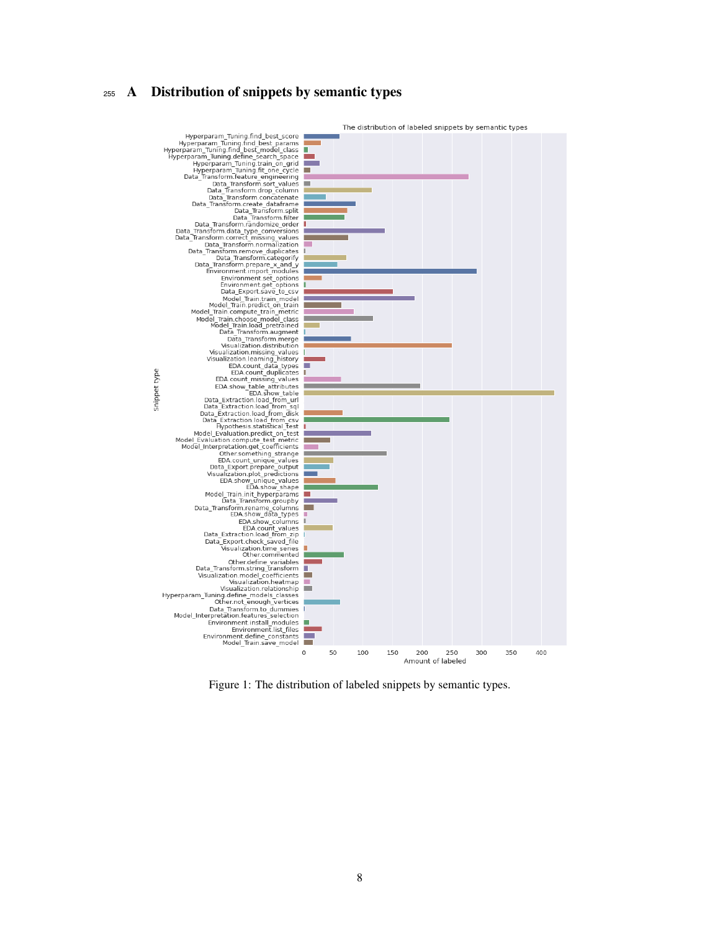## A Distribution of snippets by semantic types



<span id="page-7-0"></span>Figure 1: The distribution of labeled snippets by semantic types.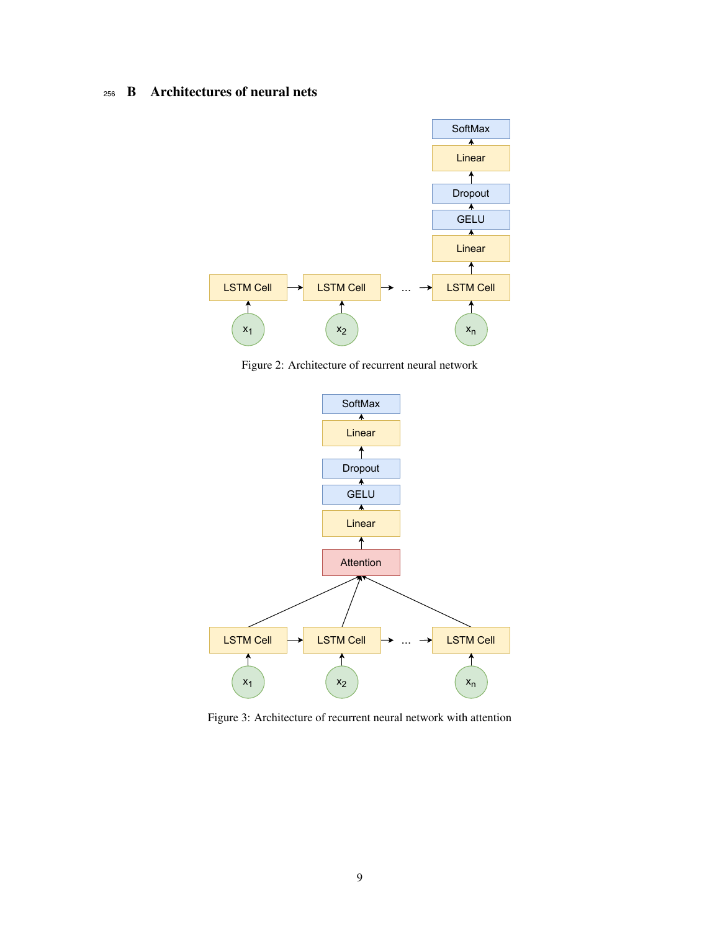## <sup>256</sup> B Architectures of neural nets



<span id="page-8-0"></span>Figure 2: Architecture of recurrent neural network



<span id="page-8-1"></span>Figure 3: Architecture of recurrent neural network with attention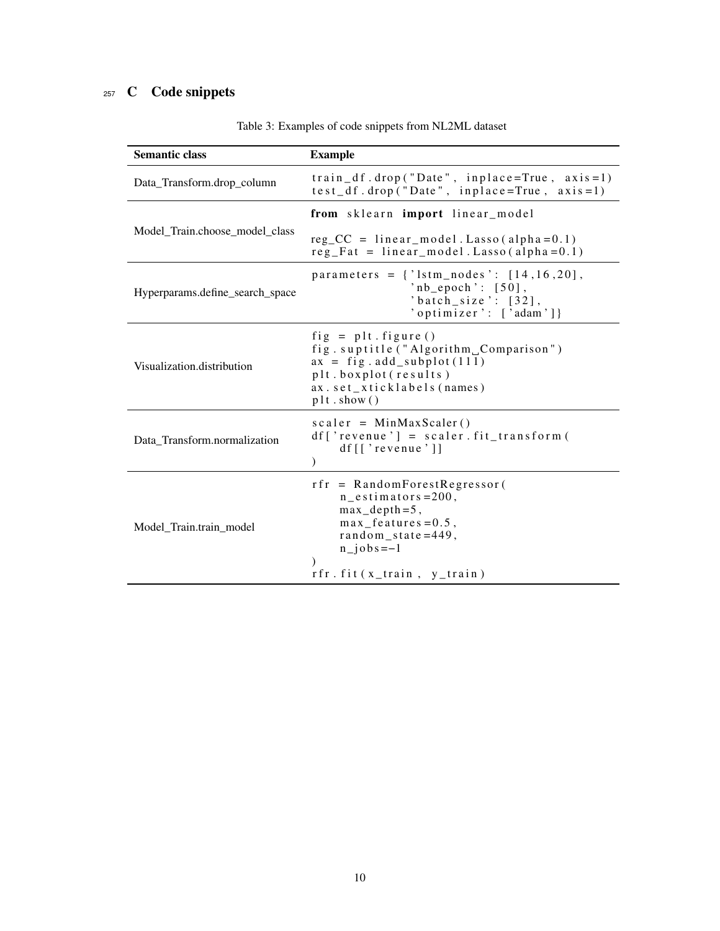## <sup>257</sup> C Code snippets

| <b>Semantic class</b>           | <b>Example</b>                                                                                                                                                                 |
|---------------------------------|--------------------------------------------------------------------------------------------------------------------------------------------------------------------------------|
| Data_Transform.drop_column      | $train_d f. drop('Date', in place=True, axis=1)$<br>$test_d$ f . drop ("Date", inplace=True, $axis = 1$ )                                                                      |
|                                 | from sklearn import linear_model                                                                                                                                               |
| Model_Train.choose_model_class  | $reg\_CC = linear_model$ . Lasso (alpha=0.1)<br>$reg_Fat = linear_model$ . Lasso (alpha = 0.1)                                                                                 |
| Hyperparams.define_search_space | parameters = $\{ 'lstm\_nodes' : [14, 16, 20] \}$ ,<br>$'nb_e poch$ : [50],<br>'batch_size': $[32]$ ,<br>'optimizer': ['adam']}                                                |
| Visualization.distribution      | $fig = plt.figure()$<br>fig.suptitle("Algorithm Comparison")<br>$ax = fig.addsubplot(111)$<br>plt.boxplot(results)<br>ax.set_xticklabels(names)<br>plt.show()                  |
| Data_Transform.normalization    | $scalar = MinMaxScalar()$<br>$df['revenue'] = scalar.fit_transform$<br>$df$ [['revenue']]                                                                                      |
| Model_Train.train_model         | $rfr = RandomForestRegression$<br>$n_e$ stimators=200,<br>$max\_depth=5$ ,<br>$max_f$ eatures = 0.5,<br>random_state= $449$ ,<br>$n$ jobs = -1<br>$rfr. fit(x_train, y_train)$ |

Table 3: Examples of code snippets from NL2ML dataset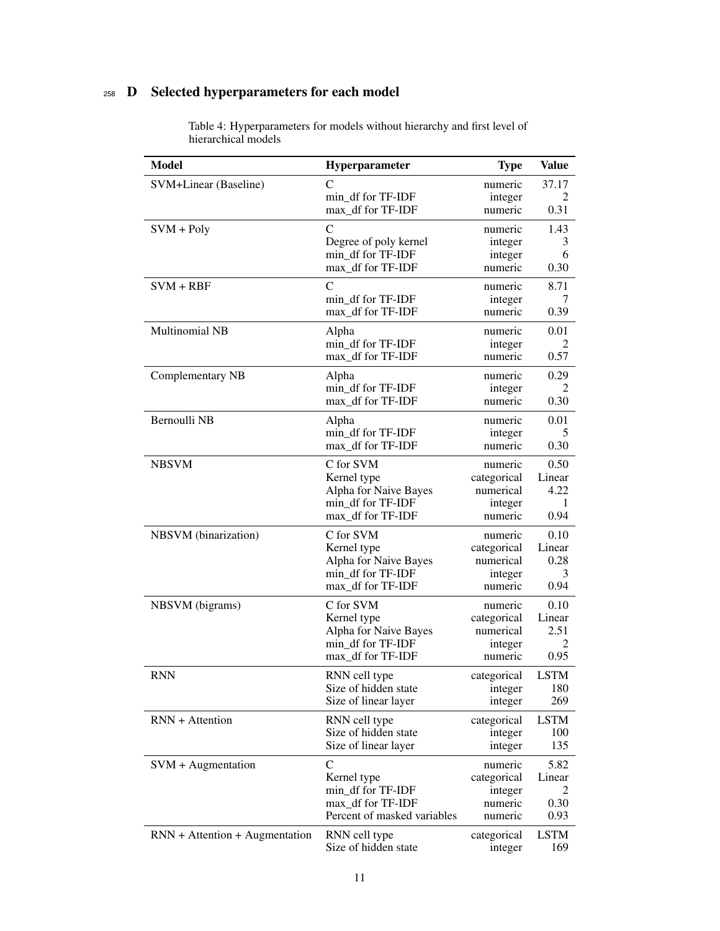## <sup>258</sup> D Selected hyperparameters for each model

| <b>Model</b>                     | Hyperparameter              | <b>Type</b> | <b>Value</b>   |
|----------------------------------|-----------------------------|-------------|----------------|
| SVM+Linear (Baseline)            | C                           | numeric     | 37.17          |
|                                  | min_df for TF-IDF           | integer     |                |
|                                  | max_df for TF-IDF           | numeric     | 0.31           |
| $SVM + Poly$                     | $\mathcal{C}$               | numeric     | 1.43           |
|                                  | Degree of poly kernel       | integer     | 3              |
|                                  | min_df for TF-IDF           | integer     | 6              |
|                                  | max_df for TF-IDF           | numeric     | 0.30           |
| $SVM + RBF$                      | $\mathcal{C}$               | numeric     | 8.71           |
|                                  | min df for TF-IDF           | integer     | 7              |
|                                  | max df for TF-IDF           | numeric     | 0.39           |
| <b>Multinomial NB</b>            | Alpha                       | numeric     | 0.01           |
|                                  | min_df for TF-IDF           | integer     | $\mathfrak{D}$ |
|                                  | max_df for TF-IDF           | numeric     | 0.57           |
| Complementary NB                 | Alpha                       | numeric     | 0.29           |
|                                  | min_df for TF-IDF           | integer     | 2              |
|                                  | max_df for TF-IDF           | numeric     | 0.30           |
| Bernoulli NB                     | Alpha                       | numeric     | 0.01           |
|                                  | min df for TF-IDF           | integer     | 5              |
|                                  | max_df for TF-IDF           | numeric     | 0.30           |
| <b>NBSVM</b>                     | C for SVM                   | numeric     | 0.50           |
|                                  | Kernel type                 | categorical | Linear         |
|                                  | Alpha for Naive Bayes       | numerical   | 4.22           |
|                                  | min_df for TF-IDF           | integer     | 1              |
|                                  | max_df for TF-IDF           | numeric     | 0.94           |
| NBSVM (binarization)             | C for SVM                   | numeric     | 0.10           |
|                                  | Kernel type                 | categorical | Linear         |
|                                  | Alpha for Naive Bayes       | numerical   | 0.28           |
|                                  | min df for TF-IDF           | integer     | 3              |
|                                  | max_df for TF-IDF           | numeric     | 0.94           |
| NBSVM (bigrams)                  | C for SVM                   | numeric     | 0.10           |
|                                  | Kernel type                 | categorical | Linear         |
|                                  | Alpha for Naive Bayes       | numerical   | 2.51           |
|                                  | min df for TF-IDF           | integer     | 2              |
|                                  | max_df for TF-IDF           | numeric     | 0.95           |
| <b>RNN</b>                       | RNN cell type               | categorical | <b>LSTM</b>    |
|                                  | Size of hidden state        | integer     | 180            |
|                                  | Size of linear layer        | integer     | 269            |
| RNN + Attention                  | RNN cell type               | categorical | <b>LSTM</b>    |
|                                  | Size of hidden state        | integer     | 100            |
|                                  | Size of linear layer        | integer     | 135            |
| $SVM + Augmentation$             | C                           | numeric     | 5.82           |
|                                  | Kernel type                 | categorical | Linear         |
|                                  | min_df for TF-IDF           | integer     | 2              |
|                                  | max_df for TF-IDF           | numeric     | 0.30           |
|                                  | Percent of masked variables | numeric     | 0.93           |
| $RNN + Attention + Augmentation$ | RNN cell type               | categorical | <b>LSTM</b>    |
|                                  | Size of hidden state        | integer     | 169            |

Table 4: Hyperparameters for models without hierarchy and first level of hierarchical models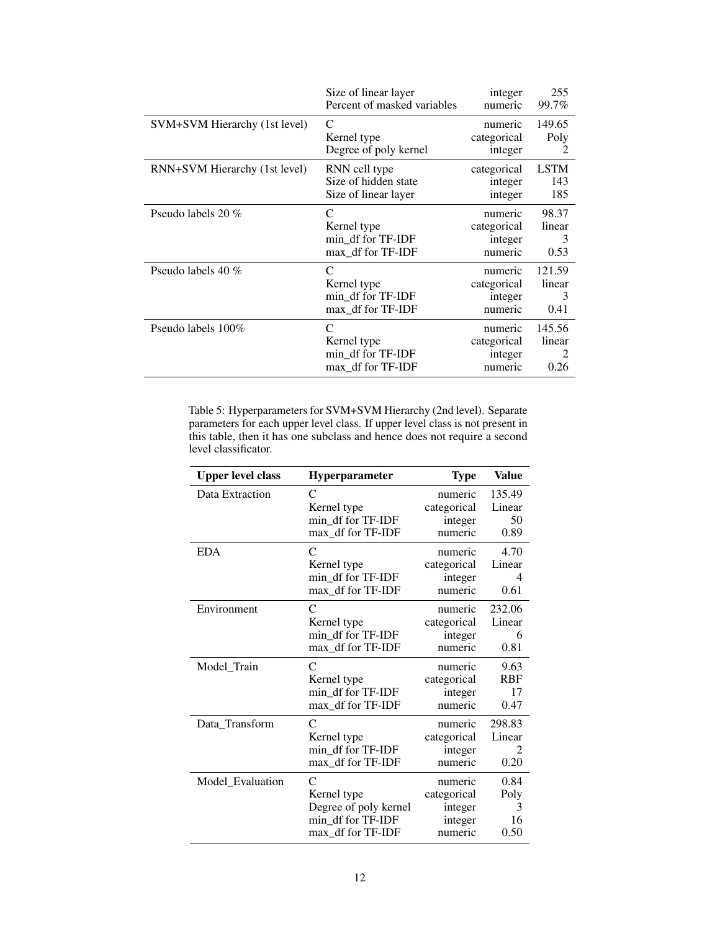|                               | Size of linear layer                                       | integer                                      | 255                      |
|-------------------------------|------------------------------------------------------------|----------------------------------------------|--------------------------|
|                               | Percent of masked variables                                | numeric                                      | 99.7%                    |
| SVM+SVM Hierarchy (1st level) | C                                                          | numeric                                      | 149.65                   |
|                               | Kernel type                                                | categorical                                  | Poly                     |
|                               | Degree of poly kernel                                      | integer                                      | $\mathfrak{D}$           |
| RNN+SVM Hierarchy (1st level) | RNN cell type                                              | categorical                                  | <b>LSTM</b>              |
|                               | Size of hidden state                                       | integer                                      | 143                      |
|                               | Size of linear layer                                       | integer                                      | 185                      |
| Pseudo labels 20 %            | C                                                          | numeric                                      | 98.37                    |
|                               | Kernel type                                                | categorical                                  | linear                   |
|                               | min_df for TF-IDF                                          | integer                                      | 3                        |
|                               | max_df for TF-IDF                                          | numeric                                      | 0.53                     |
| Pseudo labels 40 %            | C                                                          | numeric                                      | 121.59                   |
|                               | Kernel type                                                | categorical                                  | linear                   |
|                               | min df for TF-IDF                                          | integer                                      | 3                        |
|                               | max_df for TF-IDF                                          | numeric                                      | 0.41                     |
| Pseudo labels 100\%           | C<br>Kernel type<br>min df for TF-IDF<br>max_df for TF-IDF | numeric<br>categorical<br>integer<br>numeric | 145.56<br>linear<br>0.26 |

Table 5: Hyperparameters for SVM+SVM Hierarchy (2nd level). Separate parameters for each upper level class. If upper level class is not present in this table, then it has one subclass and hence does not require a second level classificator.

| <b>Upper level class</b> | Hyperparameter        | <b>Type</b> | <b>Value</b> |
|--------------------------|-----------------------|-------------|--------------|
| Data Extraction          | C                     | numeric     | 135.49       |
|                          | Kernel type           | categorical | Linear       |
|                          | min_df for TF-IDF     | integer     | 50           |
|                          | max_df for TF-IDF     | numeric     | 0.89         |
| <b>EDA</b>               | C                     | numeric     | 4.70         |
|                          | Kernel type           | categorical | Linear       |
|                          | min_df for TF-IDF     | integer     | 4            |
|                          | max_df for TF-IDF     | numeric     | 0.61         |
| Environment              | C                     | numeric     | 232.06       |
|                          | Kernel type           | categorical | Linear       |
|                          | min_df for TF-IDF     | integer     | 6            |
|                          | max_df for TF-IDF     | numeric     | 0.81         |
| Model_Train              | C                     | numeric     | 9.63         |
|                          | Kernel type           | categorical | <b>RBF</b>   |
|                          | min_df for TF-IDF     | integer     | 17           |
|                          | max_df for TF-IDF     | numeric     | 0.47         |
| Data_Transform           | C                     | numeric     | 298.83       |
|                          | Kernel type           | categorical | Linear       |
|                          | min_df for TF-IDF     | integer     | 2            |
|                          | max_df for TF-IDF     | numeric     | 0.20         |
| Model_Evaluation         | $\subset$             | numeric     | 0.84         |
|                          | Kernel type           | categorical | Poly         |
|                          | Degree of poly kernel | integer     | 3            |
|                          | min_df for TF-IDF     | integer     | 16           |
|                          | max_df for TF-IDF     | numeric     | 0.50         |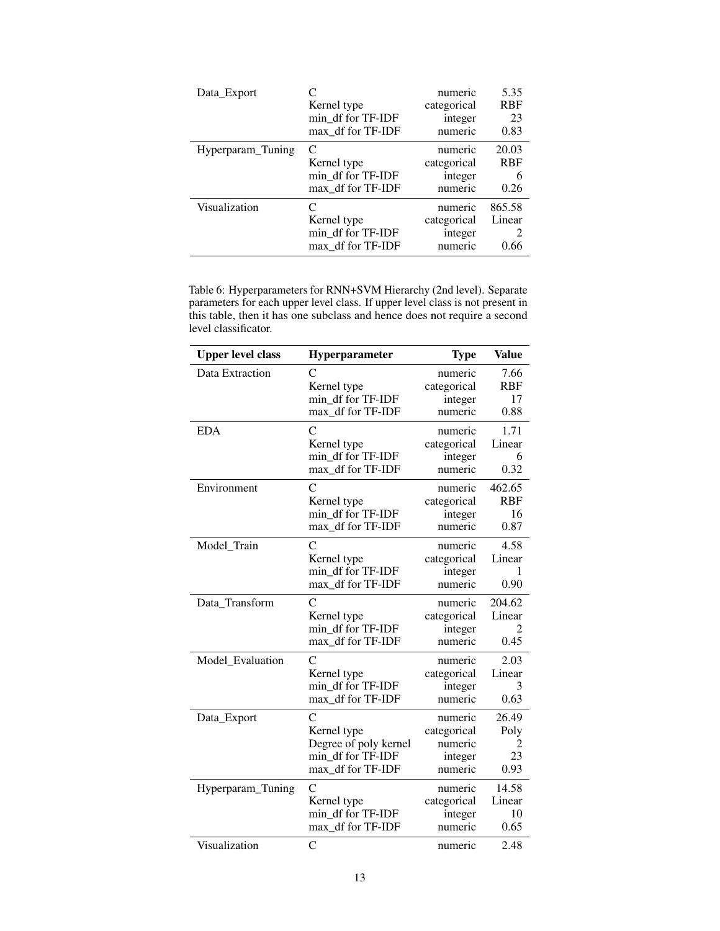| Data_Export       | Kernel type<br>min df for TF-IDF<br>max df for TF-IDF      | numeric<br>categorical<br>integer<br>numeric | 5.35<br><b>RBF</b><br>23<br>0.83 |
|-------------------|------------------------------------------------------------|----------------------------------------------|----------------------------------|
| Hyperparam_Tuning | C<br>Kernel type<br>min_df for TF-IDF<br>max df for TF-IDF | numeric<br>categorical<br>integer<br>numeric | 20.03<br><b>RBF</b><br>6<br>0.26 |
| Visualization     | Kernel type<br>min_df for TF-IDF<br>max df for TF-IDF      | numeric<br>categorical<br>integer<br>numeric | 865.58<br>Linear<br>0.66         |

Table 6: Hyperparameters for RNN+SVM Hierarchy (2nd level). Separate parameters for each upper level class. If upper level class is not present in this table, then it has one subclass and hence does not require a second level classificator.

| <b>Upper level class</b> | Hyperparameter        | <b>Type</b> | <b>Value</b> |
|--------------------------|-----------------------|-------------|--------------|
| Data Extraction          | C                     | numeric     | 7.66         |
|                          | Kernel type           | categorical | <b>RBF</b>   |
|                          | min_df for TF-IDF     | integer     | 17           |
|                          | max_df for TF-IDF     | numeric     | 0.88         |
| <b>EDA</b>               | $\overline{C}$        | numeric     | 1.71         |
|                          | Kernel type           | categorical | Linear       |
|                          | min_df for TF-IDF     | integer     | 6            |
|                          | max_df for TF-IDF     | numeric     | 0.32         |
| Environment              | $\overline{C}$        | numeric     | 462.65       |
|                          | Kernel type           | categorical | <b>RBF</b>   |
|                          | min df for TF-IDF     | integer     | 16           |
|                          | max df for TF-IDF     | numeric     | 0.87         |
| Model_Train              | C                     | numeric     | 4.58         |
|                          | Kernel type           | categorical | Linear       |
|                          | min df for TF-IDF     | integer     | 1            |
|                          | max_df for TF-IDF     | numeric     | 0.90         |
| Data_Transform           | $\overline{C}$        | numeric     | 204.62       |
|                          | Kernel type           | categorical | Linear       |
|                          | min_df for TF-IDF     | integer     | 2            |
|                          | max_df for TF-IDF     | numeric     | 0.45         |
| Model_Evaluation         | $\overline{C}$        | numeric     | 2.03         |
|                          | Kernel type           | categorical | Linear       |
|                          | min_df for TF-IDF     | integer     | 3            |
|                          | max df for TF-IDF     | numeric     | 0.63         |
| Data_Export              | $\overline{C}$        | numeric     | 26.49        |
|                          | Kernel type           | categorical | Poly         |
|                          | Degree of poly kernel | numeric     | 2            |
|                          | min df for TF-IDF     | integer     | 23           |
|                          | max_df for TF-IDF     | numeric     | 0.93         |
| Hyperparam_Tuning        | C                     | numeric     | 14.58        |
|                          | Kernel type           | categorical | Linear       |
|                          | min_df for TF-IDF     | integer     | 10           |
|                          | max df for TF-IDF     | numeric     | 0.65         |
| Visualization            | $\mathcal{C}$         | numeric     | 2.48         |